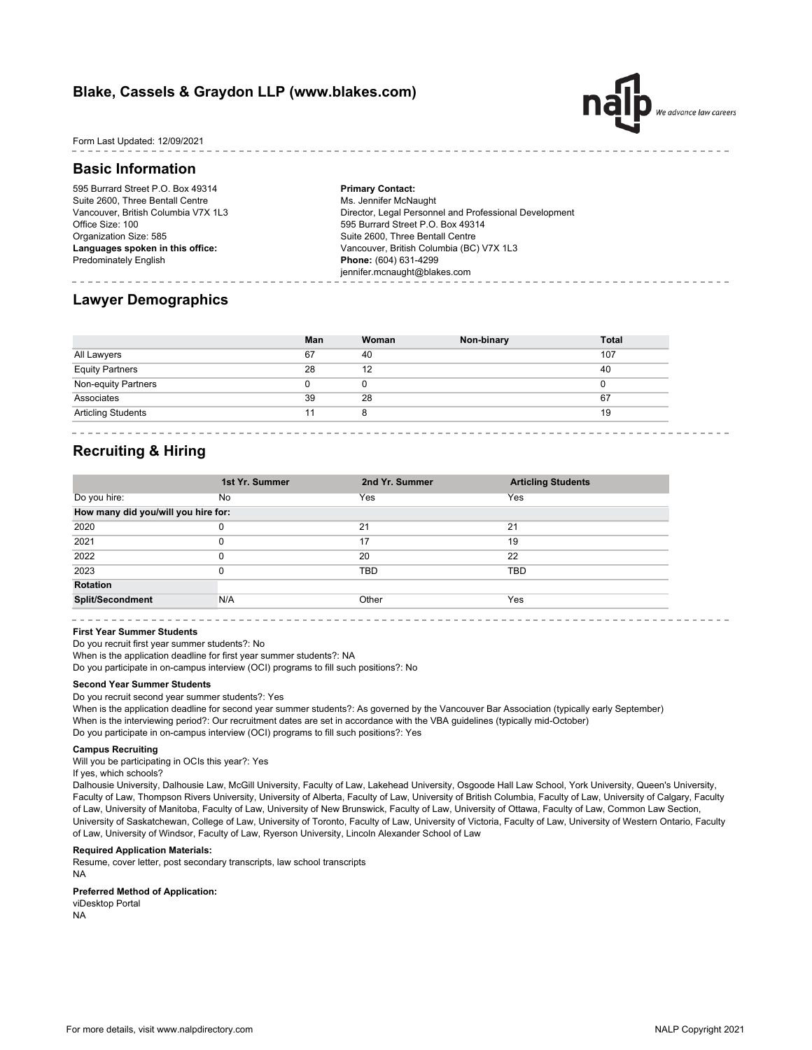# **Blake, Cassels & Graydon LLP (www.blakes.com)**



Form Last Updated: 12/09/2021

## **Basic Information**

595 Burrard Street P.O. Box 49314 Suite 2600, Three Bentall Centre Vancouver, British Columbia V7X 1L3 Office Size: 100 Organization Size: 585 **Languages spoken in this office:** Predominately English

**Primary Contact:** Ms. Jennifer McNaught Director, Legal Personnel and Professional Development 595 Burrard Street P.O. Box 49314 Suite 2600, Three Bentall Centre Vancouver, British Columbia (BC) V7X 1L3 **Phone:** (604) 631-4299 jennifer.mcnaught@blakes.com

## **Lawyer Demographics**

|                           | Man | Woman | Non-binary | <b>Total</b> |
|---------------------------|-----|-------|------------|--------------|
| All Lawyers               | 67  | 40    |            | 107          |
| <b>Equity Partners</b>    | 28  | 12    |            | 40           |
| Non-equity Partners       |     | U     |            |              |
| Associates                | 39  | 28    |            | 67           |
| <b>Articling Students</b> | 11  | 8     |            | 19           |

## **Recruiting & Hiring**

|                                     | 1st Yr. Summer | 2nd Yr. Summer | <b>Articling Students</b> |  |  |  |
|-------------------------------------|----------------|----------------|---------------------------|--|--|--|
| Do you hire:                        | No             | Yes            | Yes                       |  |  |  |
| How many did you/will you hire for: |                |                |                           |  |  |  |
| 2020                                | 0              | 21             | 21                        |  |  |  |
| 2021                                | 0              | 17             | 19                        |  |  |  |
| 2022                                | 0              | 20             | 22                        |  |  |  |
| 2023                                | 0              | <b>TBD</b>     | TBD                       |  |  |  |
| Rotation                            |                |                |                           |  |  |  |
| <b>Split/Secondment</b>             | N/A            | Other          | Yes                       |  |  |  |
|                                     |                |                |                           |  |  |  |

### **First Year Summer Students**

Do you recruit first year summer students?: No

When is the application deadline for first year summer students?: NA

Do you participate in on-campus interview (OCI) programs to fill such positions?: No

## **Second Year Summer Students**

Do you recruit second year summer students?: Yes

When is the application deadline for second year summer students?: As governed by the Vancouver Bar Association (typically early September) When is the interviewing period?: Our recruitment dates are set in accordance with the VBA guidelines (typically mid-October) Do you participate in on-campus interview (OCI) programs to fill such positions?: Yes

## **Campus Recruiting**

Will you be participating in OCIs this year?: Yes

If yes, which schools?

Dalhousie University, Dalhousie Law, McGill University, Faculty of Law, Lakehead University, Osgoode Hall Law School, York University, Queen's University, Faculty of Law, Thompson Rivers University, University of Alberta, Faculty of Law, University of British Columbia, Faculty of Law, University of Calgary, Faculty of Law, University of Manitoba, Faculty of Law, University of New Brunswick, Faculty of Law, University of Ottawa, Faculty of Law, Common Law Section, University of Saskatchewan, College of Law, University of Toronto, Faculty of Law, University of Victoria, Faculty of Law, University of Western Ontario, Faculty of Law, University of Windsor, Faculty of Law, Ryerson University, Lincoln Alexander School of Law

## **Required Application Materials:**

Resume, cover letter, post secondary transcripts, law school transcripts

NA

### **Preferred Method of Application:**

viDesktop Portal

NA